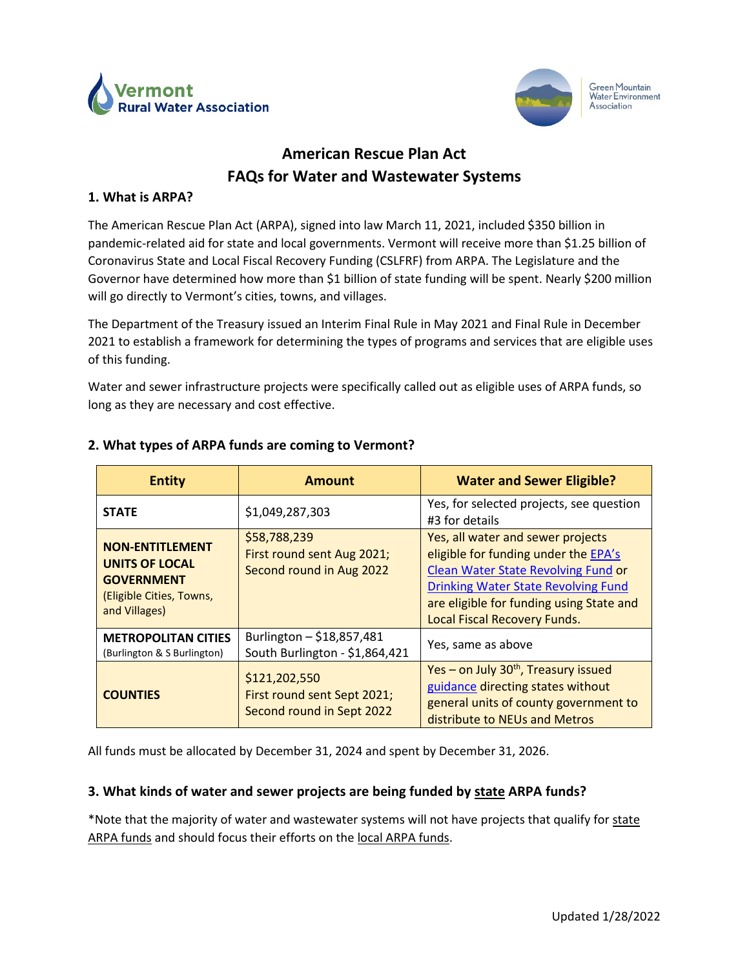



Green Mountain **Water Environment** Association

# **American Rescue Plan Act FAQs for Water and Wastewater Systems**

#### **1. What is ARPA?**

The American Rescue Plan Act (ARPA), signed into law March 11, 2021, included \$350 billion in pandemic-related aid for state and local governments. Vermont will receive more than \$1.25 billion of Coronavirus State and Local Fiscal Recovery Funding (CSLFRF) from ARPA. The Legislature and the Governor have determined how more than \$1 billion of state funding will be spent. Nearly \$200 million will go directly to Vermont's cities, towns, and villages.

The Department of the Treasury issued an Interim Final Rule in May 2021 and Final Rule in December 2021 to establish a framework for determining the types of programs and services that are eligible uses of this funding.

Water and sewer infrastructure projects were specifically called out as eligible uses of ARPA funds, so long as they are necessary and cost effective.

| <b>Entity</b>                                                                                                     | <b>Amount</b>                                                             | <b>Water and Sewer Eligible?</b>                                                                                                                                                                                                                  |
|-------------------------------------------------------------------------------------------------------------------|---------------------------------------------------------------------------|---------------------------------------------------------------------------------------------------------------------------------------------------------------------------------------------------------------------------------------------------|
| <b>STATE</b>                                                                                                      | \$1,049,287,303                                                           | Yes, for selected projects, see question<br>#3 for details                                                                                                                                                                                        |
| <b>NON-ENTITLEMENT</b><br><b>UNITS OF LOCAL</b><br><b>GOVERNMENT</b><br>(Eligible Cities, Towns,<br>and Villages) | \$58,788,239<br>First round sent Aug 2021;<br>Second round in Aug 2022    | Yes, all water and sewer projects<br>eligible for funding under the EPA's<br>Clean Water State Revolving Fund or<br><b>Drinking Water State Revolving Fund</b><br>are eligible for funding using State and<br><b>Local Fiscal Recovery Funds.</b> |
| <b>METROPOLITAN CITIES</b><br>(Burlington & S Burlington)                                                         | Burlington - \$18,857,481<br>South Burlington - \$1,864,421               | Yes, same as above                                                                                                                                                                                                                                |
| <b>COUNTIES</b>                                                                                                   | \$121,202,550<br>First round sent Sept 2021;<br>Second round in Sept 2022 | Yes - on July 30 <sup>th</sup> , Treasury issued<br>guidance directing states without<br>general units of county government to<br>distribute to NEUs and Metros                                                                                   |

### **2. What types of ARPA funds are coming to Vermont?**

All funds must be allocated by December 31, 2024 and spent by December 31, 2026.

#### **3. What kinds of water and sewer projects are being funded by state ARPA funds?**

\*Note that the majority of water and wastewater systems will not have projects that qualify for state ARPA funds and should focus their efforts on the local ARPA funds.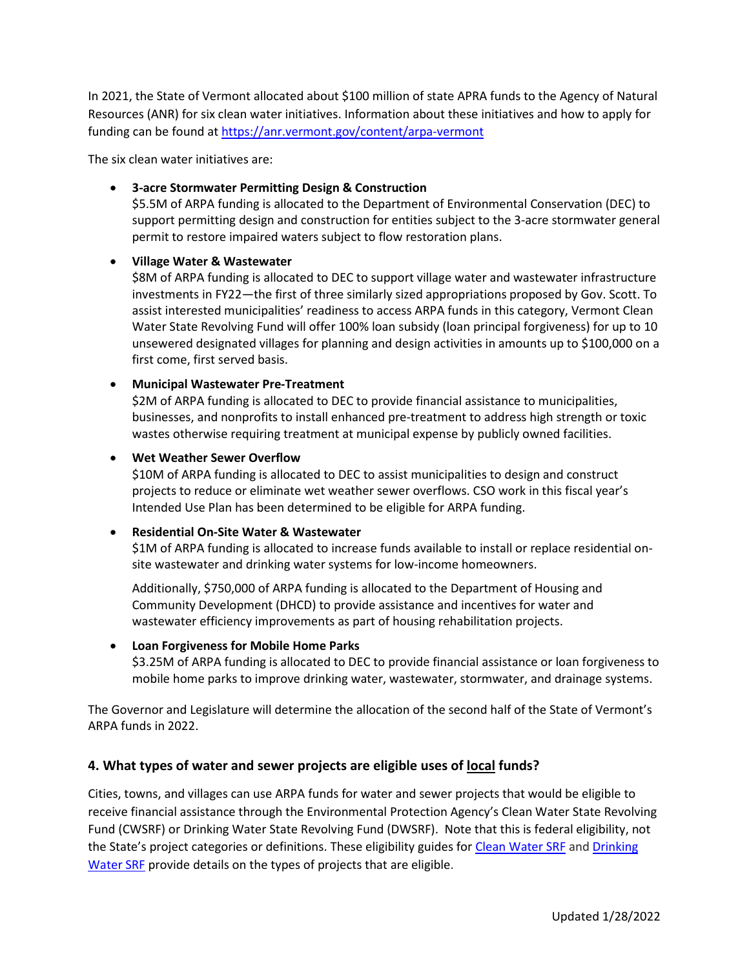In 2021, the State of Vermont allocated about \$100 million of state APRA funds to the Agency of Natural Resources (ANR) for six clean water initiatives. Information about these initiatives and how to apply for funding can be found at <https://anr.vermont.gov/content/arpa-vermont>

The six clean water initiatives are:

### • **3-acre Stormwater Permitting Design & Construction**

\$5.5M of ARPA funding is allocated to the Department of Environmental Conservation (DEC) to support permitting design and construction for entities subject to the 3-acre stormwater general permit to restore impaired waters subject to flow restoration plans.

#### • **Village Water & Wastewater**

\$8M of ARPA funding is allocated to DEC to support village water and wastewater infrastructure investments in FY22—the first of three similarly sized appropriations proposed by Gov. Scott. To assist interested municipalities' readiness to access ARPA funds in this category, Vermont Clean Water State Revolving Fund will offer 100% loan subsidy (loan principal forgiveness) for up to 10 unsewered designated villages for planning and design activities in amounts up to \$100,000 on a first come, first served basis.

#### • **Municipal Wastewater Pre-Treatment**

\$2M of ARPA funding is allocated to DEC to provide financial assistance to municipalities, businesses, and nonprofits to install enhanced pre-treatment to address high strength or toxic wastes otherwise requiring treatment at municipal expense by publicly owned facilities.

#### • **Wet Weather Sewer Overflow**

\$10M of ARPA funding is allocated to DEC to assist municipalities to design and construct projects to reduce or eliminate wet weather sewer overflows. CSO work in this fiscal year's Intended Use Plan has been determined to be eligible for ARPA funding.

### • **Residential On-Site Water & Wastewater**

\$1M of ARPA funding is allocated to increase funds available to install or replace residential onsite wastewater and drinking water systems for low-income homeowners.

Additionally, \$750,000 of ARPA funding is allocated to the Department of Housing and Community Development (DHCD) to provide assistance and incentives for water and wastewater efficiency improvements as part of housing rehabilitation projects.

### • **Loan Forgiveness for Mobile Home Parks**

\$3.25M of ARPA funding is allocated to DEC to provide financial assistance or loan forgiveness to mobile home parks to improve drinking water, wastewater, stormwater, and drainage systems.

The Governor and Legislature will determine the allocation of the second half of the State of Vermont's ARPA funds in 2022.

### **4. What types of water and sewer projects are eligible uses of local funds?**

Cities, towns, and villages can use ARPA funds for water and sewer projects that would be eligible to receive financial assistance through the Environmental Protection Agency's Clean Water State Revolving Fund (CWSRF) or Drinking Water State Revolving Fund (DWSRF). Note that this is federal eligibility, not the State's project categories or definitions. These eligibility guides for [Clean Water SRF](https://www.epa.gov/sites/production/files/2016-07/documents/overview_of_cwsrf_eligibilities_may_2016.pdf) and Drinking [Water SRF](https://www.epa.gov/sites/production/files/2019-10/documents/dwsrf_eligibility_handbook_june_13_2017_updated_508_versioni.pdf) provide details on the types of projects that are eligible.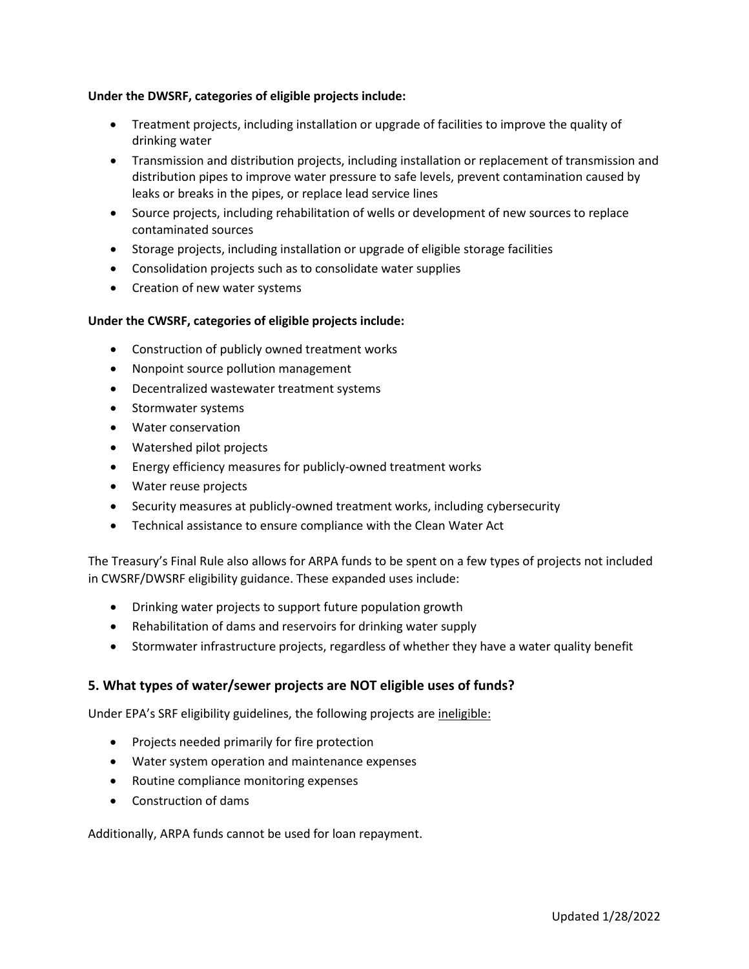#### **Under the DWSRF, categories of eligible projects include:**

- Treatment projects, including installation or upgrade of facilities to improve the quality of drinking water
- Transmission and distribution projects, including installation or replacement of transmission and distribution pipes to improve water pressure to safe levels, prevent contamination caused by leaks or breaks in the pipes, or replace lead service lines
- Source projects, including rehabilitation of wells or development of new sources to replace contaminated sources
- Storage projects, including installation or upgrade of eligible storage facilities
- Consolidation projects such as to consolidate water supplies
- Creation of new water systems

#### **Under the CWSRF, categories of eligible projects include:**

- Construction of publicly owned treatment works
- Nonpoint source pollution management
- Decentralized wastewater treatment systems
- Stormwater systems
- Water conservation
- Watershed pilot projects
- Energy efficiency measures for publicly-owned treatment works
- Water reuse projects
- Security measures at publicly-owned treatment works, including cybersecurity
- Technical assistance to ensure compliance with the Clean Water Act

The Treasury's Final Rule also allows for ARPA funds to be spent on a few types of projects not included in CWSRF/DWSRF eligibility guidance. These expanded uses include:

- Drinking water projects to support future population growth
- Rehabilitation of dams and reservoirs for drinking water supply
- Stormwater infrastructure projects, regardless of whether they have a water quality benefit

#### **5. What types of water/sewer projects are NOT eligible uses of funds?**

Under EPA's SRF eligibility guidelines, the following projects are ineligible:

- Projects needed primarily for fire protection
- Water system operation and maintenance expenses
- Routine compliance monitoring expenses
- Construction of dams

Additionally, ARPA funds cannot be used for loan repayment.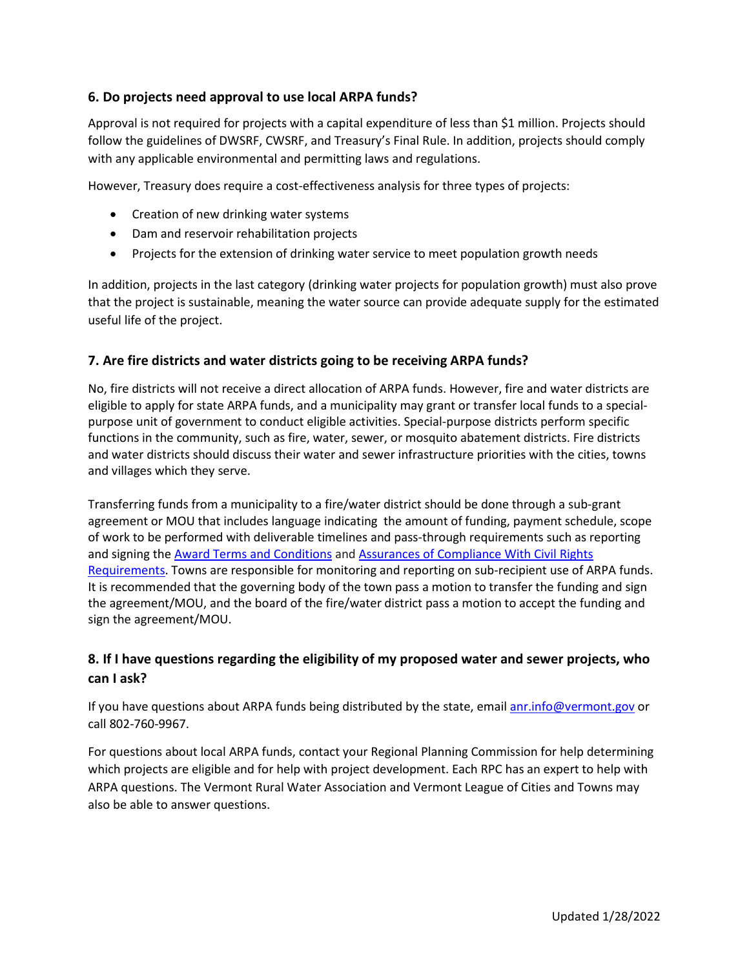### **6. Do projects need approval to use local ARPA funds?**

Approval is not required for projects with a capital expenditure of less than \$1 million. Projects should follow the guidelines of DWSRF, CWSRF, and Treasury's Final Rule. In addition, projects should comply with any applicable environmental and permitting laws and regulations.

However, Treasury does require a cost-effectiveness analysis for three types of projects:

- Creation of new drinking water systems
- Dam and reservoir rehabilitation projects
- Projects for the extension of drinking water service to meet population growth needs

In addition, projects in the last category (drinking water projects for population growth) must also prove that the project is sustainable, meaning the water source can provide adequate supply for the estimated useful life of the project.

### **7. Are fire districts and water districts going to be receiving ARPA funds?**

No, fire districts will not receive a direct allocation of ARPA funds. However, fire and water districts are eligible to apply for state ARPA funds, and a municipality may grant or transfer local funds to a specialpurpose unit of government to conduct eligible activities. Special-purpose districts perform specific functions in the community, such as fire, water, sewer, or mosquito abatement districts. Fire districts and water districts should discuss their water and sewer infrastructure priorities with the cities, towns and villages which they serve.

Transferring funds from a municipality to a fire/water district should be done through a sub-grant agreement or MOU that includes language indicating the amount of funding, payment schedule, scope of work to be performed with deliverable timelines and pass-through requirements such as reporting and signing th[e Award Terms and Conditions](https://home.treasury.gov/system/files/136/NEU_Award_Terms_and_Conditions.pdf) and [Assurances of Compliance With Civil Rights](https://home.treasury.gov/system/files/136/Title_VI_Assurances.pdf)  [Requirements.](https://home.treasury.gov/system/files/136/Title_VI_Assurances.pdf) Towns are responsible for monitoring and reporting on sub-recipient use of ARPA funds. It is recommended that the governing body of the town pass a motion to transfer the funding and sign the agreement/MOU, and the board of the fire/water district pass a motion to accept the funding and sign the agreement/MOU.

### **8. If I have questions regarding the eligibility of my proposed water and sewer projects, who can I ask?**

If you have questions about ARPA funds being distributed by the state, email [anr.info@vermont.gov](mailto:anr.info@vermont.gov) or call 802-760-9967.

For questions about local ARPA funds, contact your Regional Planning Commission for help determining which projects are eligible and for help with project development. Each RPC has an expert to help with ARPA questions. The Vermont Rural Water Association and Vermont League of Cities and Towns may also be able to answer questions.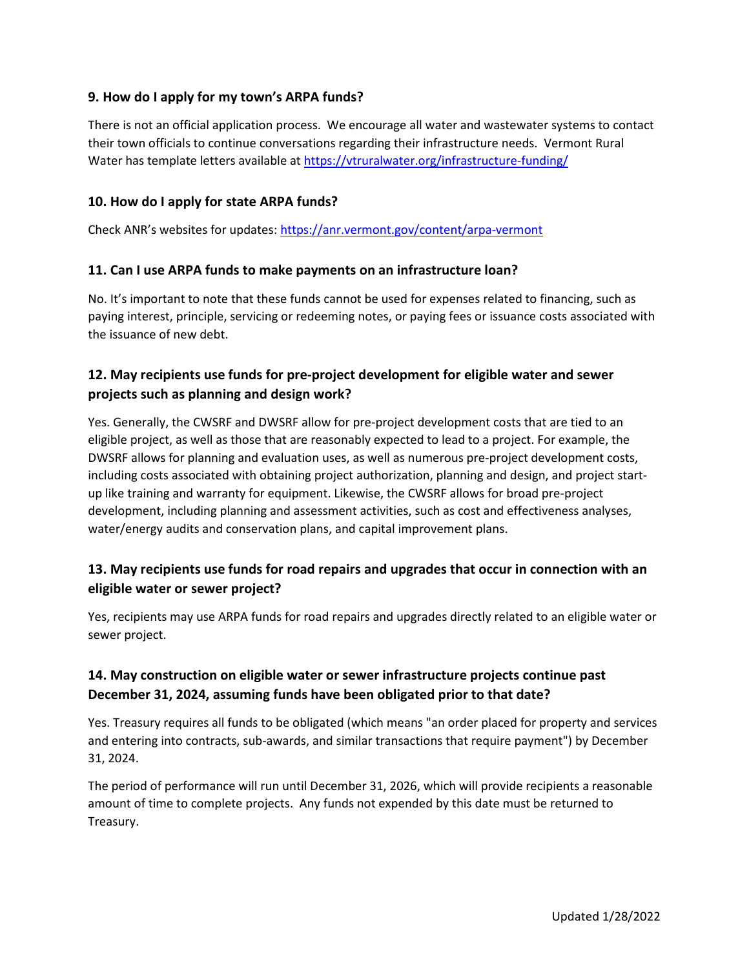### **9. How do I apply for my town's ARPA funds?**

There is not an official application process. We encourage all water and wastewater systems to contact their town officials to continue conversations regarding their infrastructure needs. Vermont Rural Water has template letters available a[t https://vtruralwater.org/infrastructure-funding/](https://vtruralwater.org/infrastructure-funding/)

### **10. How do I apply for state ARPA funds?**

Check ANR's websites for updates:<https://anr.vermont.gov/content/arpa-vermont>

### **11. Can I use ARPA funds to make payments on an infrastructure loan?**

No. It's important to note that these funds cannot be used for expenses related to financing, such as paying interest, principle, servicing or redeeming notes, or paying fees or issuance costs associated with the issuance of new debt.

# **12. May recipients use funds for pre-project development for eligible water and sewer projects such as planning and design work?**

Yes. Generally, the CWSRF and DWSRF allow for pre-project development costs that are tied to an eligible project, as well as those that are reasonably expected to lead to a project. For example, the DWSRF allows for planning and evaluation uses, as well as numerous pre-project development costs, including costs associated with obtaining project authorization, planning and design, and project startup like training and warranty for equipment. Likewise, the CWSRF allows for broad pre-project development, including planning and assessment activities, such as cost and effectiveness analyses, water/energy audits and conservation plans, and capital improvement plans.

# **13. May recipients use funds for road repairs and upgrades that occur in connection with an eligible water or sewer project?**

Yes, recipients may use ARPA funds for road repairs and upgrades directly related to an eligible water or sewer project.

# **14. May construction on eligible water or sewer infrastructure projects continue past December 31, 2024, assuming funds have been obligated prior to that date?**

Yes. Treasury requires all funds to be obligated (which means "an order placed for property and services and entering into contracts, sub-awards, and similar transactions that require payment") by December 31, 2024.

The period of performance will run until December 31, 2026, which will provide recipients a reasonable amount of time to complete projects. Any funds not expended by this date must be returned to Treasury.